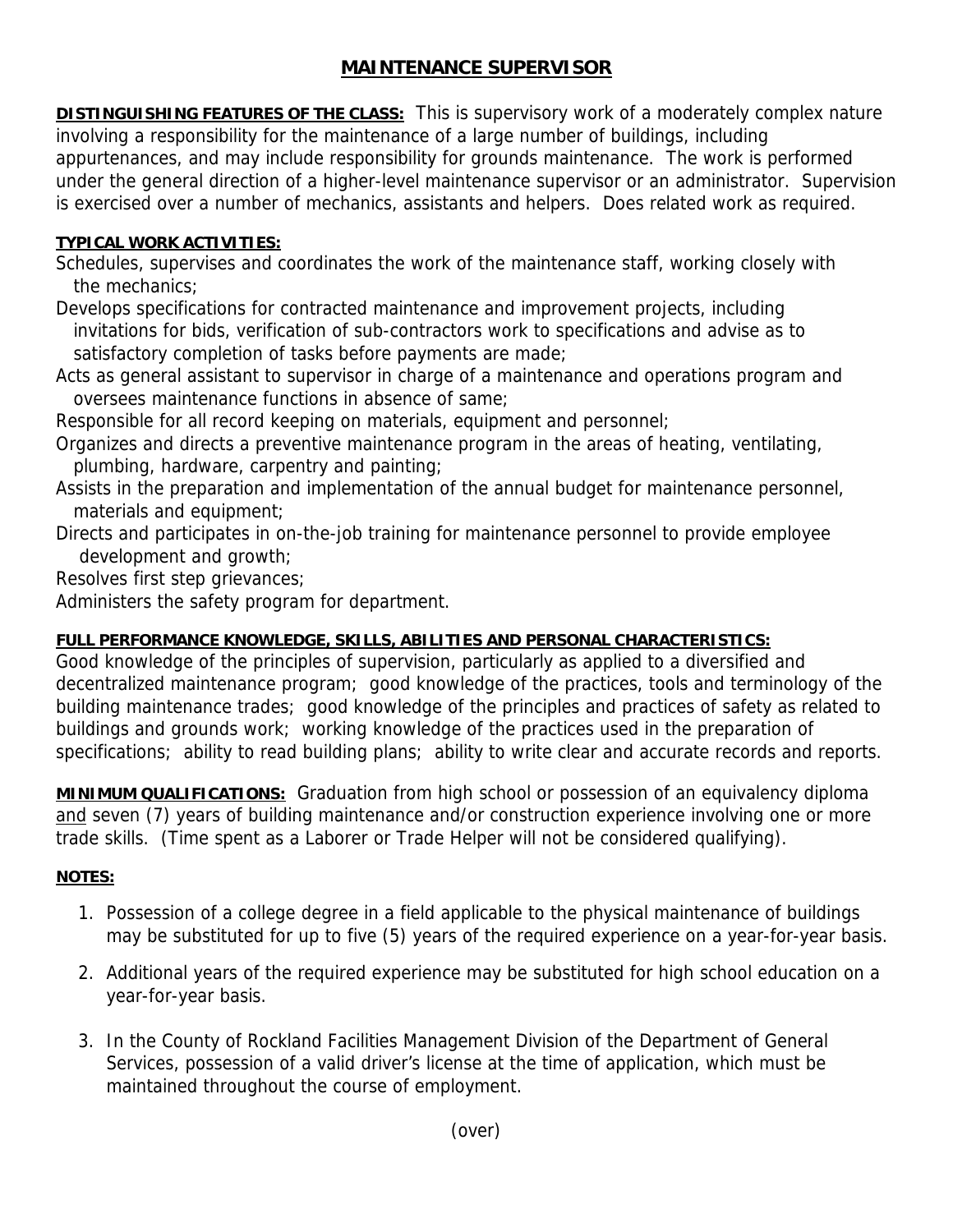## **MAINTENANCE SUPERVISOR**

**DISTINGUISHING FEATURES OF THE CLASS:** This is supervisory work of a moderately complex nature involving a responsibility for the maintenance of a large number of buildings, including appurtenances, and may include responsibility for grounds maintenance. The work is performed under the general direction of a higher-level maintenance supervisor or an administrator. Supervision is exercised over a number of mechanics, assistants and helpers. Does related work as required.

## **TYPICAL WORK ACTIVITIES:**

Schedules, supervises and coordinates the work of the maintenance staff, working closely with the mechanics;

Develops specifications for contracted maintenance and improvement projects, including invitations for bids, verification of sub-contractors work to specifications and advise as to satisfactory completion of tasks before payments are made;

Acts as general assistant to supervisor in charge of a maintenance and operations program and oversees maintenance functions in absence of same;

Responsible for all record keeping on materials, equipment and personnel;

Organizes and directs a preventive maintenance program in the areas of heating, ventilating, plumbing, hardware, carpentry and painting;

Assists in the preparation and implementation of the annual budget for maintenance personnel, materials and equipment;

Directs and participates in on-the-job training for maintenance personnel to provide employee development and growth;

Resolves first step grievances;

Administers the safety program for department.

## **FULL PERFORMANCE KNOWLEDGE, SKILLS, ABILITIES AND PERSONAL CHARACTERISTICS:**

Good knowledge of the principles of supervision, particularly as applied to a diversified and decentralized maintenance program; good knowledge of the practices, tools and terminology of the building maintenance trades; good knowledge of the principles and practices of safety as related to buildings and grounds work; working knowledge of the practices used in the preparation of specifications; ability to read building plans; ability to write clear and accurate records and reports.

**MINIMUM QUALIFICATIONS:** Graduation from high school or possession of an equivalency diploma and seven (7) years of building maintenance and/or construction experience involving one or more trade skills. (Time spent as a Laborer or Trade Helper will not be considered qualifying).

## **NOTES:**

- 1. Possession of a college degree in a field applicable to the physical maintenance of buildings may be substituted for up to five (5) years of the required experience on a year-for-year basis.
- 2. Additional years of the required experience may be substituted for high school education on a year-for-year basis.
- 3. In the County of Rockland Facilities Management Division of the Department of General Services, possession of a valid driver's license at the time of application, which must be maintained throughout the course of employment.